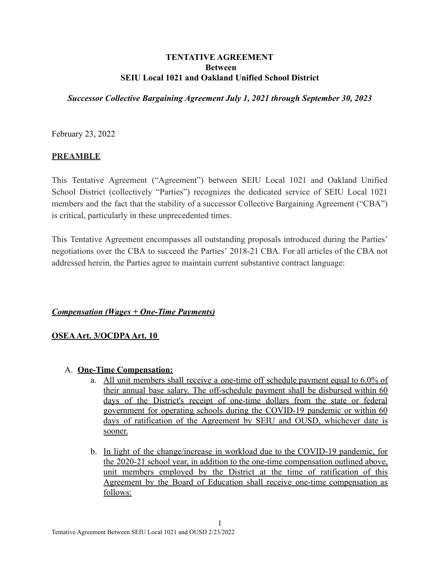### **TENTATIVE AGREEMENT Between SEIU Local 1021 and Oakland Unified School District**

*Successor Collective Bargaining Agreement July 1, 2021 through September 30, 2023*

February 23, 2022

### **PREAMBLE**

This Tentative Agreement ("Agreement") between SEIU Local 1021 and Oakland Unified School District (collectively "Parties") recognizes the dedicated service of SEIU Local 1021 members and the fact that the stability of a successor Collective Bargaining Agreement ("CBA") is critical, particularly in these unprecedented times.

This Tentative Agreement encompasses all outstanding proposals introduced during the Parties' negotiations over the CBA to succeed the Parties' 2018-21 CBA. For all articles of the CBA not addressed herein, the Parties agree to maintain current substantive contract language:

### *Compensation (Wages + One-Time Payments)*

### **OSEAArt. 3/OCDPAArt. 10**

### A. **One-Time Compensation:**

- a. All unit members shall receive a one-time off schedule payment equal to 6.0% of their annual base salary. The off-schedule payment shall be disbursed within 60 days of the District's receipt of one-time dollars from the state or federal government for operating schools during the COVID-19 pandemic or within 60 days of ratification of the Agreement by SEIU and OUSD, whichever date is sooner.
- b. In light of the change/increase in workload due to the COVID-19 pandemic, for the 2020-21 school year, in addition to the one-time compensation outlined above, unit members employed by the District at the time of ratification of this Agreement by the Board of Education shall receive one-time compensation as follows: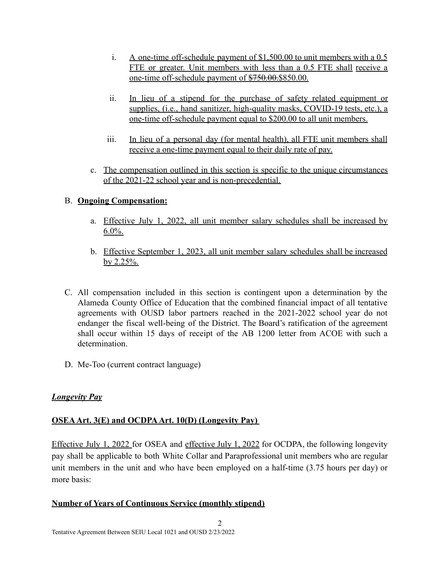- i. A one-time off-schedule payment of \$1,500.00 to unit members with a 0.5 FTE or greater. Unit members with less than a 0.5 FTE shall receive a one-time off-schedule payment of \$750.00.\$850.00.
- ii. In lieu of a stipend for the purchase of safety related equipment or supplies, (i.e., hand sanitizer, high-quality masks, COVID-19 tests, etc.), a one-time off-schedule payment equal to \$200.00 to all unit members.
- iii. In lieu of a personal day (for mental health), all FTE unit members shall receive a one-time payment equal to their daily rate of pay.
- c. The compensation outlined in this section is specific to the unique circumstances of the 2021-22 school year and is non-precedential.

### B. **Ongoing Compensation:**

- a. Effective July 1, 2022, all unit member salary schedules shall be increased by  $6.0\%$ .
- b. Effective September 1, 2023, all unit member salary schedules shall be increased by 2.25%.
- C. All compensation included in this section is contingent upon a determination by the Alameda County Office of Education that the combined financial impact of all tentative agreements with OUSD labor partners reached in the 2021-2022 school year do not endanger the fiscal well-being of the District. The Board's ratification of the agreement shall occur within 15 days of receipt of the AB 1200 letter from ACOE with such a determination.
- D. Me-Too (current contract language)

### *Longevity Pay*

### **OSEAArt. 3(E) and OCDPAArt. 10(D) (Longevity Pay)**

Effective July 1, 2022 for OSEA and effective July 1, 2022 for OCDPA, the following longevity pay shall be applicable to both White Collar and Paraprofessional unit members who are regular unit members in the unit and who have been employed on a half-time (3.75 hours per day) or more basis:

2

### **Number of Years of Continuous Service (monthly stipend)**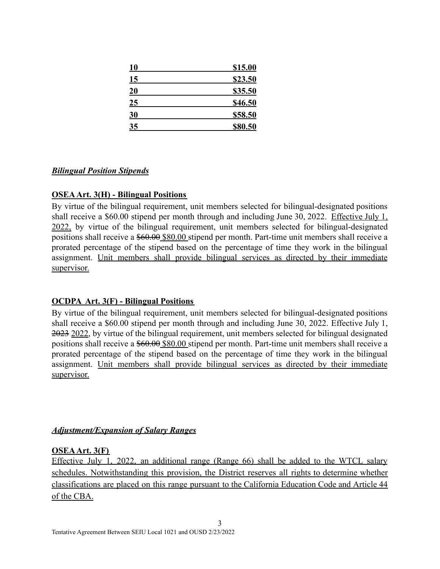| 10        | \$15.00 |
|-----------|---------|
| <b>15</b> | \$23.50 |
| 20        | \$35.50 |
| 25        | \$46.50 |
| <u>30</u> | \$58.50 |
| <b>35</b> | \$80.50 |

### *Bilingual Position Stipends*

### **OSEAArt. 3(H) - Bilingual Positions**

By virtue of the bilingual requirement, unit members selected for bilingual-designated positions shall receive a \$60.00 stipend per month through and including June 30, 2022. Effective July 1, 2022, by virtue of the bilingual requirement, unit members selected for bilingual-designated positions shall receive a \$60.00 \$80.00 stipend per month. Part-time unit members shall receive a prorated percentage of the stipend based on the percentage of time they work in the bilingual assignment. Unit members shall provide bilingual services as directed by their immediate supervisor.

### **OCDPA Art. 3(F) - Bilingual Positions**

By virtue of the bilingual requirement, unit members selected for bilingual-designated positions shall receive a \$60.00 stipend per month through and including June 30, 2022. Effective July 1, 2023 2022, by virtue of the bilingual requirement, unit members selected for bilingual designated positions shall receive a  $$60.00$  \$80.00 stipend per month. Part-time unit members shall receive a prorated percentage of the stipend based on the percentage of time they work in the bilingual assignment. Unit members shall provide bilingual services as directed by their immediate supervisor.

### *Adjustment/Expansion of Salary Ranges*

### **OSEAArt. 3(F)**

Effective July 1, 2022, an additional range (Range 66) shall be added to the WTCL salary schedules. Notwithstanding this provision, the District reserves all rights to determine whether classifications are placed on this range pursuant to the California Education Code and Article 44 of the CBA.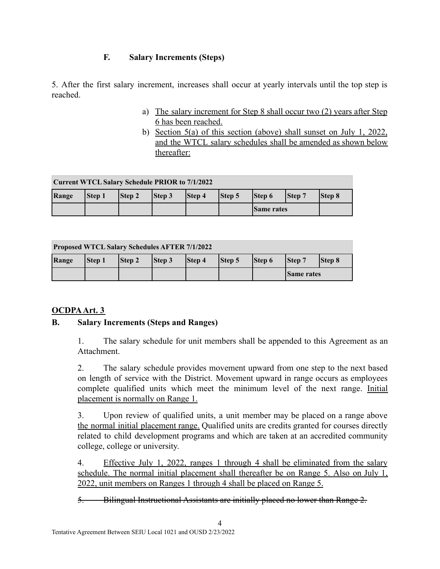### **F. Salary Increments (Steps)**

5. After the first salary increment, increases shall occur at yearly intervals until the top step is reached.

- a) The salary increment for Step 8 shall occur two (2) years after Step 6 has been reached.
- b) Section 5(a) of this section (above) shall sunset on July 1, 2022, and the WTCL salary schedules shall be amended as shown below thereafter:

| <b>Current WTCL Salary Schedule PRIOR to 7/1/2022</b> |        |               |               |               |        |                   |        |               |  |
|-------------------------------------------------------|--------|---------------|---------------|---------------|--------|-------------------|--------|---------------|--|
| Range                                                 | Step 1 | <b>Step 2</b> | <b>Step 3</b> | <b>Step 4</b> | Step 5 | <b>Step 6</b>     | Step 7 | <b>Step 8</b> |  |
|                                                       |        |               |               |               |        | <b>Same rates</b> |        |               |  |

| <b>Proposed WTCL Salary Schedules AFTER 7/1/2022</b> |        |               |                |        |        |        |                   |               |  |
|------------------------------------------------------|--------|---------------|----------------|--------|--------|--------|-------------------|---------------|--|
| Range                                                | Step 1 | <b>Step 2</b> | $\vert$ Step 3 | Step 4 | Step 5 | Step 6 | <b>Step 7</b>     | <b>Step 8</b> |  |
|                                                      |        |               |                |        |        |        | <b>Same rates</b> |               |  |

### **OCDPAArt. 3**

### **B. Salary Increments (Steps and Ranges)**

1. The salary schedule for unit members shall be appended to this Agreement as an **Attachment** 

2. The salary schedule provides movement upward from one step to the next based on length of service with the District. Movement upward in range occurs as employees complete qualified units which meet the minimum level of the next range. Initial placement is normally on Range 1.

3. Upon review of qualified units, a unit member may be placed on a range above the normal initial placement range. Qualified units are credits granted for courses directly related to child development programs and which are taken at an accredited community college, college or university.

4. Effective July 1, 2022, ranges 1 through 4 shall be eliminated from the salary schedule. The normal initial placement shall thereafter be on Range 5. Also on July 1, 2022, unit members on Ranges 1 through 4 shall be placed on Range 5.

5. Bilingual Instructional Assistants are initially placed no lower than Range 2.

4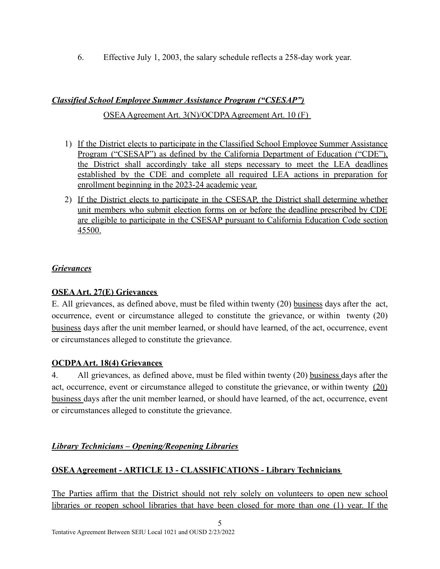6. Effective July 1, 2003, the salary schedule reflects a 258-day work year.

# *Classified School Employee Summer Assistance Program ("CSESAP")*

### OSEAAgreement Art. 3(N)/OCDPAAgreement Art. 10 (F)

- 1) If the District elects to participate in the Classified School Employee Summer Assistance Program ("CSESAP") as defined by the California Department of Education ("CDE"), the District shall accordingly take all steps necessary to meet the LEA deadlines established by the CDE and complete all required LEA actions in preparation for enrollment beginning in the 2023-24 academic year.
- 2) If the District elects to participate in the CSESAP, the District shall determine whether unit members who submit election forms on or before the deadline prescribed by CDE are eligible to participate in the CSESAP pursuant to California Education Code section 45500.

## *Grievances*

## **OSEAArt. 27(E) Grievances**

E. All grievances, as defined above, must be filed within twenty (20) business days after the act, occurrence, event or circumstance alleged to constitute the grievance, or within twenty (20) business days after the unit member learned, or should have learned, of the act, occurrence, event or circumstances alleged to constitute the grievance.

## **OCDPAArt. 18(4) Grievances**

4. All grievances, as defined above, must be filed within twenty (20) business days after the act, occurrence, event or circumstance alleged to constitute the grievance, or within twenty (20) business days after the unit member learned, or should have learned, of the act, occurrence, event or circumstances alleged to constitute the grievance.

## *Library Technicians – Opening/Reopening Libraries*

## **OSEAAgreement - ARTICLE 13 - CLASSIFICATIONS - Library Technicians**

The Parties affirm that the District should not rely solely on volunteers to open new school libraries or reopen school libraries that have been closed for more than one (1) year. If the

5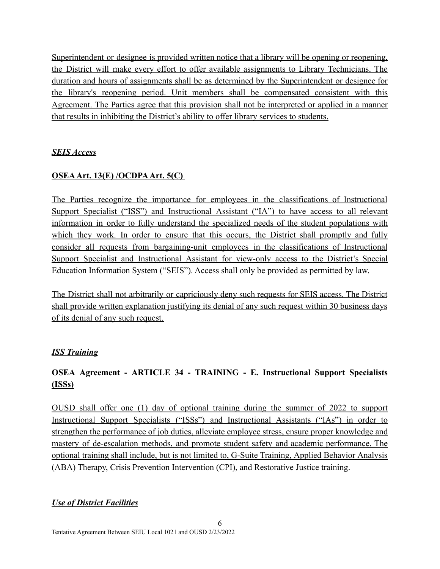Superintendent or designee is provided written notice that a library will be opening or reopening. the District will make every effort to offer available assignments to Library Technicians. The duration and hours of assignments shall be as determined by the Superintendent or designee for the library's reopening period. Unit members shall be compensated consistent with this Agreement. The Parties agree that this provision shall not be interpreted or applied in a manner that results in inhibiting the District's ability to offer library services to students.

## *SEIS Access*

## **OSEAArt. 13(E) /OCDPAArt. 5(C)**

The Parties recognize the importance for employees in the classifications of Instructional Support Specialist ("ISS") and Instructional Assistant ("IA") to have access to all relevant information in order to fully understand the specialized needs of the student populations with which they work. In order to ensure that this occurs, the District shall promptly and fully consider all requests from bargaining-unit employees in the classifications of Instructional Support Specialist and Instructional Assistant for view-only access to the District's Special Education Information System ("SEIS"). Access shall only be provided as permitted by law.

The District shall not arbitrarily or capriciously deny such requests for SEIS access. The District shall provide written explanation justifying its denial of any such request within 30 business days of its denial of any such request.

### *ISS Training*

# **OSEA Agreement - ARTICLE 34 - TRAINING - E. Instructional Support Specialists (ISSs)**

OUSD shall offer one (1) day of optional training during the summer of 2022 to support Instructional Support Specialists ("ISSs") and Instructional Assistants ("IAs") in order to strengthen the performance of job duties, alleviate employee stress, ensure proper knowledge and mastery of de-escalation methods, and promote student safety and academic performance. The optional training shall include, but is not limited to, G-Suite Training, Applied Behavior Analysis (ABA) Therapy, Crisis Prevention Intervention (CPI), and Restorative Justice training.

## *Use of District Facilities*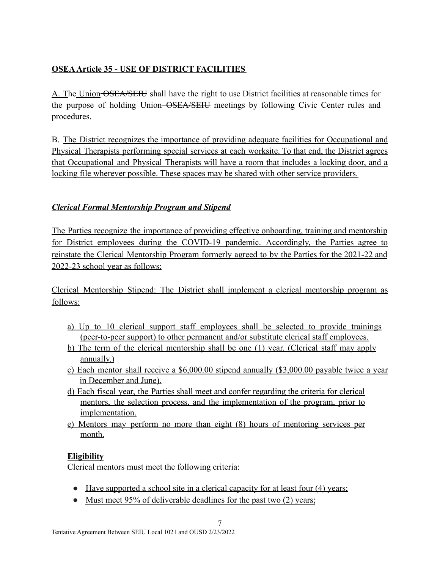## **OSEAArticle 35 - USE OF DISTRICT FACILITIES**

A. The Union OSEA/SEIU shall have the right to use District facilities at reasonable times for the purpose of holding Union-OSEA/SEIU meetings by following Civic Center rules and procedures.

B. The District recognizes the importance of providing adequate facilities for Occupational and Physical Therapists performing special services at each worksite. To that end, the District agrees that Occupational and Physical Therapists will have a room that includes a locking door, and a locking file wherever possible. These spaces may be shared with other service providers.

## *Clerical Formal Mentorship Program and Stipend*

The Parties recognize the importance of providing effective onboarding, training and mentorship for District employees during the COVID-19 pandemic. Accordingly, the Parties agree to reinstate the Clerical Mentorship Program formerly agreed to by the Parties for the 2021-22 and 2022-23 school year as follows:

Clerical Mentorship Stipend: The District shall implement a clerical mentorship program as follows:

- a) Up to 10 clerical support staff employees shall be selected to provide trainings (peer-to-peer support) to other permanent and/or substitute clerical staff employees.
- b) The term of the clerical mentorship shall be one (1) year. (Clerical staff may apply annually.)
- c) Each mentor shall receive a \$6,000.00 stipend annually (\$3,000.00 payable twice a year in December and June).
- d) Each fiscal year, the Parties shall meet and confer regarding the criteria for clerical mentors, the selection process, and the implementation of the program, prior to implementation.
- e) Mentors may perform no more than eight (8) hours of mentoring services per month.

## **Eligibility**

Clerical mentors must meet the following criteria:

• Have supported a school site in a clerical capacity for at least four (4) years;

7

• Must meet 95% of deliverable deadlines for the past two (2) years;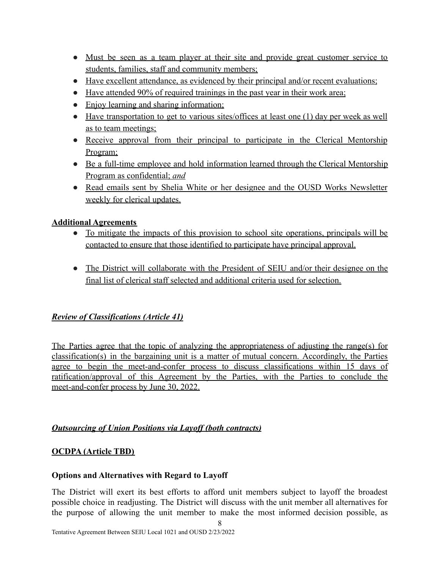- Must be seen as a team player at their site and provide great customer service to students, families, staff and community members;
- Have excellent attendance, as evidenced by their principal and/or recent evaluations;
- Have attended 90% of required trainings in the past year in their work area;
- Enjoy learning and sharing information;
- Have transportation to get to various sites/offices at least one (1) day per week as well as to team meetings;
- Receive approval from their principal to participate in the Clerical Mentorship Program;
- Be a full-time employee and hold information learned through the Clerical Mentorship Program as confidential; *and*
- Read emails sent by Shelia White or her designee and the OUSD Works Newsletter weekly for clerical updates.

## **Additional Agreements**

- To mitigate the impacts of this provision to school site operations, principals will be contacted to ensure that those identified to participate have principal approval.
- The District will collaborate with the President of SEIU and/or their designee on the final list of clerical staff selected and additional criteria used for selection.

## *Review of Classifications (Article 41)*

The Parties agree that the topic of analyzing the appropriateness of adjusting the range(s) for classification(s) in the bargaining unit is a matter of mutual concern. Accordingly, the Parties agree to begin the meet-and-confer process to discuss classifications within 15 days of ratification/approval of this Agreement by the Parties, with the Parties to conclude the meet-and-confer process by June 30, 2022.

### *Outsourcing of Union Positions via Layoff (both contracts)*

### **OCDPA (Article TBD)**

### **Options and Alternatives with Regard to Layoff**

The District will exert its best efforts to afford unit members subject to layoff the broadest possible choice in readjusting. The District will discuss with the unit member all alternatives for the purpose of allowing the unit member to make the most informed decision possible, as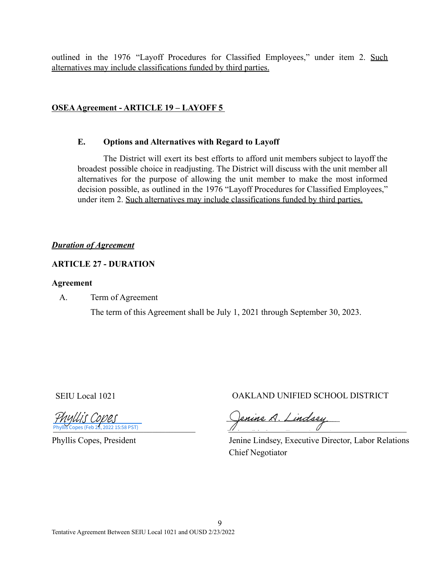outlined in the 1976 "Layoff Procedures for Classified Employees," under item 2. Such alternatives may include classifications funded by third parties.

### **OSEAAgreement - ARTICLE 19 – LAYOFF 5**

#### **E. Options and Alternatives with Regard to Layoff**

The District will exert its best efforts to afford unit members subject to layoff the broadest possible choice in readjusting. The District will discuss with the unit member all alternatives for the purpose of allowing the unit member to make the most informed decision possible, as outlined in the 1976 "Layoff Procedures for Classified Employees," under item 2. Such alternatives may include classifications funded by third parties.

### *Duration of Agreement*

### **ARTICLE 27 - DURATION**

#### **Agreement**

A. Term of Agreement

The term of this Agreement shall be July 1, 2021 through September 30, 2023.

Phyllis Copes (Feb 23, 2022 15:58 PST)

Phyllis Copes, President

SEIU Local 1021 OAKLAND UNIFIED SCHOOL DISTRICT

enine A. Lindsey

Jenine Lindsey, Executive Director, Labor Relations Chief Negotiator